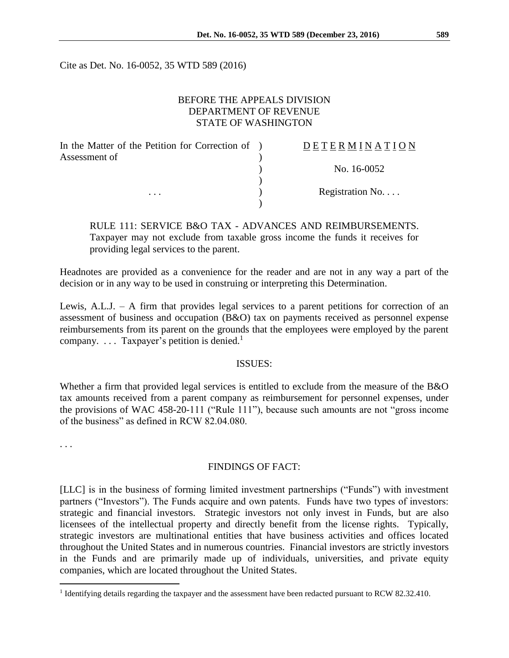Cite as Det. No. 16-0052, 35 WTD 589 (2016)

## BEFORE THE APPEALS DIVISION DEPARTMENT OF REVENUE STATE OF WASHINGTON

| In the Matter of the Petition for Correction of ) | DETERMINATION   |
|---------------------------------------------------|-----------------|
| Assessment of<br>$\cdots$                         |                 |
|                                                   | No. 16-0052     |
|                                                   |                 |
|                                                   | Registration No |
|                                                   |                 |

RULE 111: SERVICE B&O TAX - ADVANCES AND REIMBURSEMENTS. Taxpayer may not exclude from taxable gross income the funds it receives for providing legal services to the parent.

Headnotes are provided as a convenience for the reader and are not in any way a part of the decision or in any way to be used in construing or interpreting this Determination.

Lewis, A.L.J. – A firm that provides legal services to a parent petitions for correction of an assessment of business and occupation (B&O) tax on payments received as personnel expense reimbursements from its parent on the grounds that the employees were employed by the parent company.  $\ldots$  Taxpayer's petition is denied.<sup>1</sup>

## ISSUES:

Whether a firm that provided legal services is entitled to exclude from the measure of the B&O tax amounts received from a parent company as reimbursement for personnel expenses, under the provisions of WAC 458-20-111 ("Rule 111"), because such amounts are not "gross income of the business" as defined in RCW 82.04.080.

. . .

 $\overline{a}$ 

## FINDINGS OF FACT:

[LLC] is in the business of forming limited investment partnerships ("Funds") with investment partners ("Investors"). The Funds acquire and own patents. Funds have two types of investors: strategic and financial investors. Strategic investors not only invest in Funds, but are also licensees of the intellectual property and directly benefit from the license rights. Typically, strategic investors are multinational entities that have business activities and offices located throughout the United States and in numerous countries. Financial investors are strictly investors in the Funds and are primarily made up of individuals, universities, and private equity companies, which are located throughout the United States.

<sup>&</sup>lt;sup>1</sup> Identifying details regarding the taxpayer and the assessment have been redacted pursuant to RCW 82.32.410.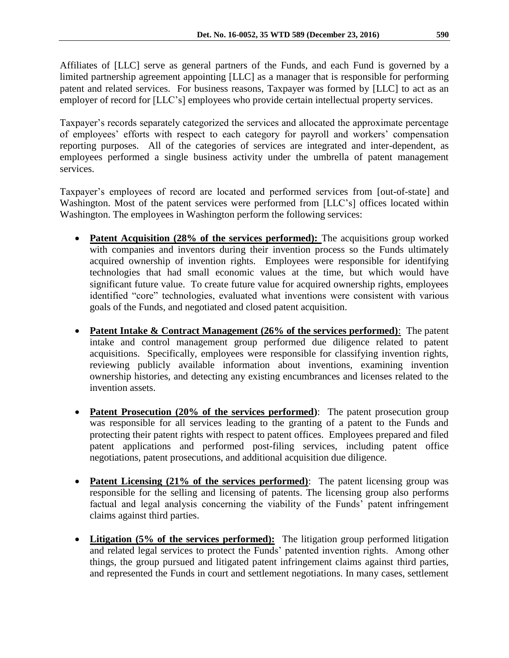Affiliates of [LLC] serve as general partners of the Funds, and each Fund is governed by a limited partnership agreement appointing [LLC] as a manager that is responsible for performing patent and related services. For business reasons, Taxpayer was formed by [LLC] to act as an employer of record for [LLC's] employees who provide certain intellectual property services.

Taxpayer's records separately categorized the services and allocated the approximate percentage of employees' efforts with respect to each category for payroll and workers' compensation reporting purposes. All of the categories of services are integrated and inter-dependent, as employees performed a single business activity under the umbrella of patent management services.

Taxpayer's employees of record are located and performed services from [out-of-state] and Washington. Most of the patent services were performed from [LLC's] offices located within Washington. The employees in Washington perform the following services:

- **Patent Acquisition (28% of the services performed):** The acquisitions group worked with companies and inventors during their invention process so the Funds ultimately acquired ownership of invention rights. Employees were responsible for identifying technologies that had small economic values at the time, but which would have significant future value. To create future value for acquired ownership rights, employees identified "core" technologies, evaluated what inventions were consistent with various goals of the Funds, and negotiated and closed patent acquisition.
- **Patent Intake & Contract Management (26% of the services performed)**: The patent intake and control management group performed due diligence related to patent acquisitions. Specifically, employees were responsible for classifying invention rights, reviewing publicly available information about inventions, examining invention ownership histories, and detecting any existing encumbrances and licenses related to the invention assets.
- **Patent Prosecution (20% of the services performed)**: The patent prosecution group was responsible for all services leading to the granting of a patent to the Funds and protecting their patent rights with respect to patent offices. Employees prepared and filed patent applications and performed post-filing services, including patent office negotiations, patent prosecutions, and additional acquisition due diligence.
- **Patent Licensing (21% of the services performed)**: The patent licensing group was responsible for the selling and licensing of patents. The licensing group also performs factual and legal analysis concerning the viability of the Funds' patent infringement claims against third parties.
- Litigation (5% of the services performed): The litigation group performed litigation and related legal services to protect the Funds' patented invention rights. Among other things, the group pursued and litigated patent infringement claims against third parties, and represented the Funds in court and settlement negotiations. In many cases, settlement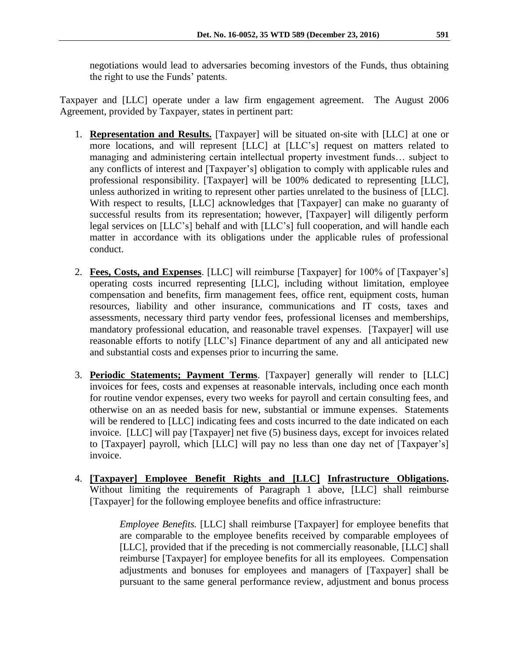negotiations would lead to adversaries becoming investors of the Funds, thus obtaining the right to use the Funds' patents.

Taxpayer and [LLC] operate under a law firm engagement agreement. The August 2006 Agreement, provided by Taxpayer, states in pertinent part:

- 1. **Representation and Results.** [Taxpayer] will be situated on-site with [LLC] at one or more locations, and will represent [LLC] at [LLC's] request on matters related to managing and administering certain intellectual property investment funds… subject to any conflicts of interest and [Taxpayer's] obligation to comply with applicable rules and professional responsibility. [Taxpayer] will be 100% dedicated to representing [LLC], unless authorized in writing to represent other parties unrelated to the business of [LLC]. With respect to results, [LLC] acknowledges that [Taxpayer] can make no guaranty of successful results from its representation; however, [Taxpayer] will diligently perform legal services on [LLC's] behalf and with [LLC's] full cooperation, and will handle each matter in accordance with its obligations under the applicable rules of professional conduct.
- 2. **Fees, Costs, and Expenses**. [LLC] will reimburse [Taxpayer] for 100% of [Taxpayer's] operating costs incurred representing [LLC], including without limitation, employee compensation and benefits, firm management fees, office rent, equipment costs, human resources, liability and other insurance, communications and IT costs, taxes and assessments, necessary third party vendor fees, professional licenses and memberships, mandatory professional education, and reasonable travel expenses. [Taxpayer] will use reasonable efforts to notify [LLC's] Finance department of any and all anticipated new and substantial costs and expenses prior to incurring the same.
- 3. **Periodic Statements; Payment Terms**. [Taxpayer] generally will render to [LLC] invoices for fees, costs and expenses at reasonable intervals, including once each month for routine vendor expenses, every two weeks for payroll and certain consulting fees, and otherwise on an as needed basis for new, substantial or immune expenses. Statements will be rendered to [LLC] indicating fees and costs incurred to the date indicated on each invoice. [LLC] will pay [Taxpayer] net five (5) business days, except for invoices related to [Taxpayer] payroll, which [LLC] will pay no less than one day net of [Taxpayer's] invoice.
- 4. **[Taxpayer] Employee Benefit Rights and [LLC] Infrastructure Obligations.** Without limiting the requirements of Paragraph 1 above, [LLC] shall reimburse [Taxpayer] for the following employee benefits and office infrastructure:

*Employee Benefits.* [LLC] shall reimburse [Taxpayer] for employee benefits that are comparable to the employee benefits received by comparable employees of [LLC], provided that if the preceding is not commercially reasonable, [LLC] shall reimburse [Taxpayer] for employee benefits for all its employees. Compensation adjustments and bonuses for employees and managers of [Taxpayer] shall be pursuant to the same general performance review, adjustment and bonus process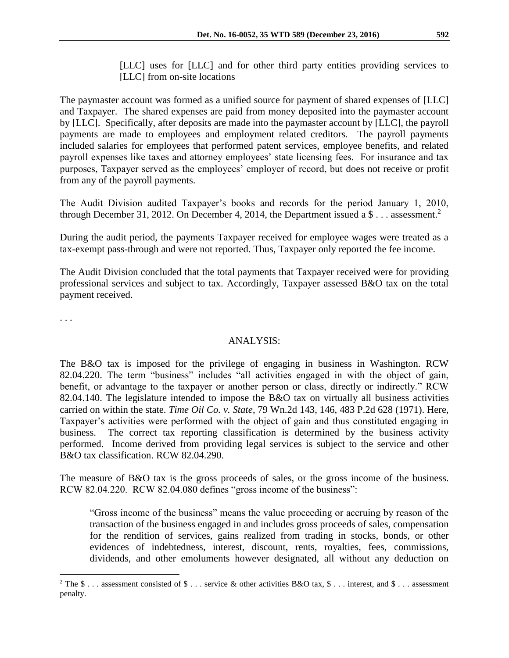[LLC] uses for [LLC] and for other third party entities providing services to [LLC] from on-site locations

The paymaster account was formed as a unified source for payment of shared expenses of [LLC] and Taxpayer. The shared expenses are paid from money deposited into the paymaster account by [LLC]. Specifically, after deposits are made into the paymaster account by [LLC], the payroll payments are made to employees and employment related creditors. The payroll payments included salaries for employees that performed patent services, employee benefits, and related payroll expenses like taxes and attorney employees' state licensing fees. For insurance and tax purposes, Taxpayer served as the employees' employer of record, but does not receive or profit from any of the payroll payments.

The Audit Division audited Taxpayer's books and records for the period January 1, 2010, through December 31, 2012. On December 4, 2014, the Department issued a  $\frac{1}{2}$ ... assessment.<sup>2</sup>

During the audit period, the payments Taxpayer received for employee wages were treated as a tax-exempt pass-through and were not reported. Thus, Taxpayer only reported the fee income.

The Audit Division concluded that the total payments that Taxpayer received were for providing professional services and subject to tax. Accordingly, Taxpayer assessed B&O tax on the total payment received.

. . .

 $\overline{a}$ 

## ANALYSIS:

The B&O tax is imposed for the privilege of engaging in business in Washington. RCW 82.04.220. The term "business" includes "all activities engaged in with the object of gain, benefit, or advantage to the taxpayer or another person or class, directly or indirectly." RCW 82.04.140. The legislature intended to impose the B&O tax on virtually all business activities carried on within the state. *Time Oil Co. v. State*, 79 Wn.2d 143, 146, 483 P.2d 628 (1971). Here, Taxpayer's activities were performed with the object of gain and thus constituted engaging in business. The correct tax reporting classification is determined by the business activity performed. Income derived from providing legal services is subject to the service and other B&O tax classification. RCW 82.04.290.

The measure of B&O tax is the gross proceeds of sales, or the gross income of the business. RCW 82.04.220. RCW 82.04.080 defines "gross income of the business":

"Gross income of the business" means the value proceeding or accruing by reason of the transaction of the business engaged in and includes gross proceeds of sales, compensation for the rendition of services, gains realized from trading in stocks, bonds, or other evidences of indebtedness, interest, discount, rents, royalties, fees, commissions, dividends, and other emoluments however designated, all without any deduction on

<sup>&</sup>lt;sup>2</sup> The \$ . . . assessment consisted of \$ . . . service & other activities B&O tax, \$ . . . interest, and \$ . . . assessment penalty.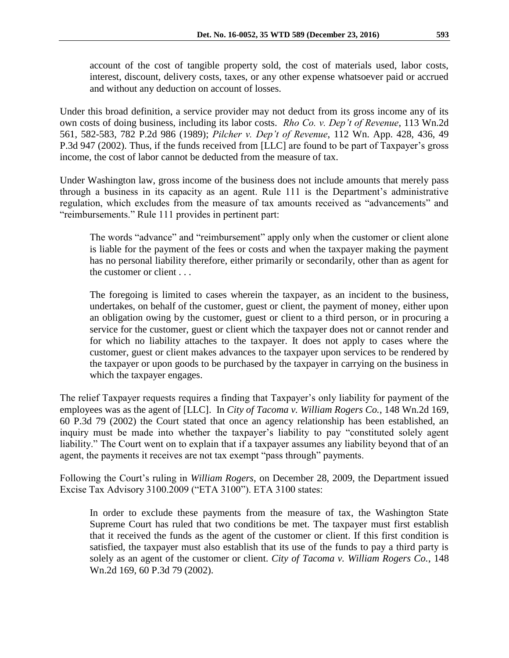account of the cost of tangible property sold, the cost of materials used, labor costs, interest, discount, delivery costs, taxes, or any other expense whatsoever paid or accrued and without any deduction on account of losses.

Under this broad definition, a service provider may not deduct from its gross income any of its own costs of doing business, including its labor costs. *Rho Co. v. Dep't of Revenue*, 113 Wn.2d 561, 582-583, 782 P.2d 986 (1989); *Pilcher v. Dep't of Revenue*, 112 Wn. App. 428, 436, 49 P.3d 947 (2002). Thus, if the funds received from [LLC] are found to be part of Taxpayer's gross income, the cost of labor cannot be deducted from the measure of tax.

Under Washington law, gross income of the business does not include amounts that merely pass through a business in its capacity as an agent. Rule 111 is the Department's administrative regulation, which excludes from the measure of tax amounts received as "advancements" and "reimbursements." Rule 111 provides in pertinent part:

The words "advance" and "reimbursement" apply only when the customer or client alone is liable for the payment of the fees or costs and when the taxpayer making the payment has no personal liability therefore, either primarily or secondarily, other than as agent for the customer or client . . .

The foregoing is limited to cases wherein the taxpayer, as an incident to the business, undertakes, on behalf of the customer, guest or client, the payment of money, either upon an obligation owing by the customer, guest or client to a third person, or in procuring a service for the customer, guest or client which the taxpayer does not or cannot render and for which no liability attaches to the taxpayer. It does not apply to cases where the customer, guest or client makes advances to the taxpayer upon services to be rendered by the taxpayer or upon goods to be purchased by the taxpayer in carrying on the business in which the taxpayer engages.

The relief Taxpayer requests requires a finding that Taxpayer's only liability for payment of the employees was as the agent of [LLC]. In *City of Tacoma v. William Rogers Co.*, 148 Wn.2d 169, 60 P.3d 79 (2002) the Court stated that once an agency relationship has been established, an inquiry must be made into whether the taxpayer's liability to pay "constituted solely agent liability." The Court went on to explain that if a taxpayer assumes any liability beyond that of an agent, the payments it receives are not tax exempt "pass through" payments.

Following the Court's ruling in *William Rogers*, on December 28, 2009, the Department issued Excise Tax Advisory 3100.2009 ("ETA 3100"). ETA 3100 states:

In order to exclude these payments from the measure of tax, the Washington State Supreme Court has ruled that two conditions be met. The taxpayer must first establish that it received the funds as the agent of the customer or client. If this first condition is satisfied, the taxpayer must also establish that its use of the funds to pay a third party is solely as an agent of the customer or client. *City of Tacoma v. William Rogers Co.*, 148 Wn.2d 169, 60 P.3d 79 (2002).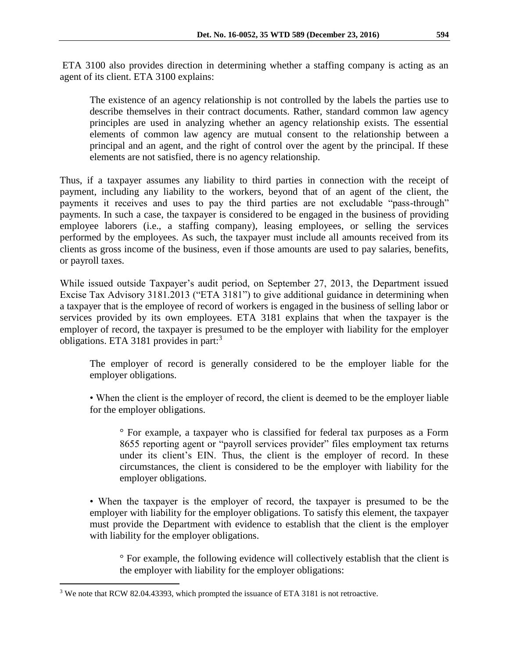ETA 3100 also provides direction in determining whether a staffing company is acting as an agent of its client. ETA 3100 explains:

The existence of an agency relationship is not controlled by the labels the parties use to describe themselves in their contract documents. Rather, standard common law agency principles are used in analyzing whether an agency relationship exists. The essential elements of common law agency are mutual consent to the relationship between a principal and an agent, and the right of control over the agent by the principal. If these elements are not satisfied, there is no agency relationship.

Thus, if a taxpayer assumes any liability to third parties in connection with the receipt of payment, including any liability to the workers, beyond that of an agent of the client, the payments it receives and uses to pay the third parties are not excludable "pass-through" payments. In such a case, the taxpayer is considered to be engaged in the business of providing employee laborers (i.e., a staffing company), leasing employees, or selling the services performed by the employees. As such, the taxpayer must include all amounts received from its clients as gross income of the business, even if those amounts are used to pay salaries, benefits, or payroll taxes.

While issued outside Taxpayer's audit period, on September 27, 2013, the Department issued Excise Tax Advisory 3181.2013 ("ETA 3181") to give additional guidance in determining when a taxpayer that is the employee of record of workers is engaged in the business of selling labor or services provided by its own employees. ETA 3181 explains that when the taxpayer is the employer of record, the taxpayer is presumed to be the employer with liability for the employer obligations. ETA 3181 provides in part:<sup>3</sup>

The employer of record is generally considered to be the employer liable for the employer obligations.

• When the client is the employer of record, the client is deemed to be the employer liable for the employer obligations.

° For example, a taxpayer who is classified for federal tax purposes as a Form 8655 reporting agent or "payroll services provider" files employment tax returns under its client's EIN. Thus, the client is the employer of record. In these circumstances, the client is considered to be the employer with liability for the employer obligations.

• When the taxpayer is the employer of record, the taxpayer is presumed to be the employer with liability for the employer obligations. To satisfy this element, the taxpayer must provide the Department with evidence to establish that the client is the employer with liability for the employer obligations.

° For example, the following evidence will collectively establish that the client is the employer with liability for the employer obligations:

 $\overline{a}$ 

<sup>&</sup>lt;sup>3</sup> We note that RCW 82.04.43393, which prompted the issuance of ETA 3181 is not retroactive.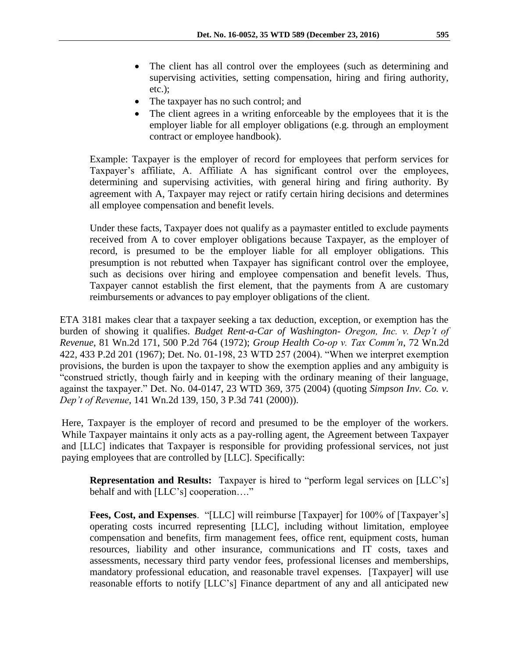- The client has all control over the employees (such as determining and supervising activities, setting compensation, hiring and firing authority, etc.);
- The taxpayer has no such control; and
- The client agrees in a writing enforceable by the employees that it is the employer liable for all employer obligations (e.g. through an employment contract or employee handbook).

Example: Taxpayer is the employer of record for employees that perform services for Taxpayer's affiliate, A. Affiliate A has significant control over the employees, determining and supervising activities, with general hiring and firing authority. By agreement with A, Taxpayer may reject or ratify certain hiring decisions and determines all employee compensation and benefit levels.

Under these facts, Taxpayer does not qualify as a paymaster entitled to exclude payments received from A to cover employer obligations because Taxpayer, as the employer of record, is presumed to be the employer liable for all employer obligations. This presumption is not rebutted when Taxpayer has significant control over the employee, such as decisions over hiring and employee compensation and benefit levels. Thus, Taxpayer cannot establish the first element, that the payments from A are customary reimbursements or advances to pay employer obligations of the client.

ETA 3181 makes clear that a taxpayer seeking a tax deduction, exception, or exemption has the burden of showing it qualifies. *Budget Rent-a-Car of Washington- Oregon, Inc. v. Dep't of Revenue*, 81 Wn.2d 171, 500 P.2d 764 (1972); *Group Health Co-op v. Tax Comm'n*, 72 Wn.2d 422, 433 P.2d 201 (1967); Det. No. 01-198, 23 WTD 257 (2004). "When we interpret exemption provisions, the burden is upon the taxpayer to show the exemption applies and any ambiguity is "construed strictly, though fairly and in keeping with the ordinary meaning of their language, against the taxpayer." Det. No. 04-0147, 23 WTD 369, 375 (2004) (quoting *Simpson Inv. Co. v. Dep't of Revenue*, 141 Wn.2d 139, 150, 3 P.3d 741 (2000)).

Here, Taxpayer is the employer of record and presumed to be the employer of the workers. While Taxpayer maintains it only acts as a pay-rolling agent, the Agreement between Taxpayer and [LLC] indicates that Taxpayer is responsible for providing professional services, not just paying employees that are controlled by [LLC]. Specifically:

**Representation and Results:** Taxpayer is hired to "perform legal services on [LLC's] behalf and with [LLC's] cooperation…."

**Fees, Cost, and Expenses**. "[LLC] will reimburse [Taxpayer] for 100% of [Taxpayer's] operating costs incurred representing [LLC], including without limitation, employee compensation and benefits, firm management fees, office rent, equipment costs, human resources, liability and other insurance, communications and IT costs, taxes and assessments, necessary third party vendor fees, professional licenses and memberships, mandatory professional education, and reasonable travel expenses. [Taxpayer] will use reasonable efforts to notify [LLC's] Finance department of any and all anticipated new